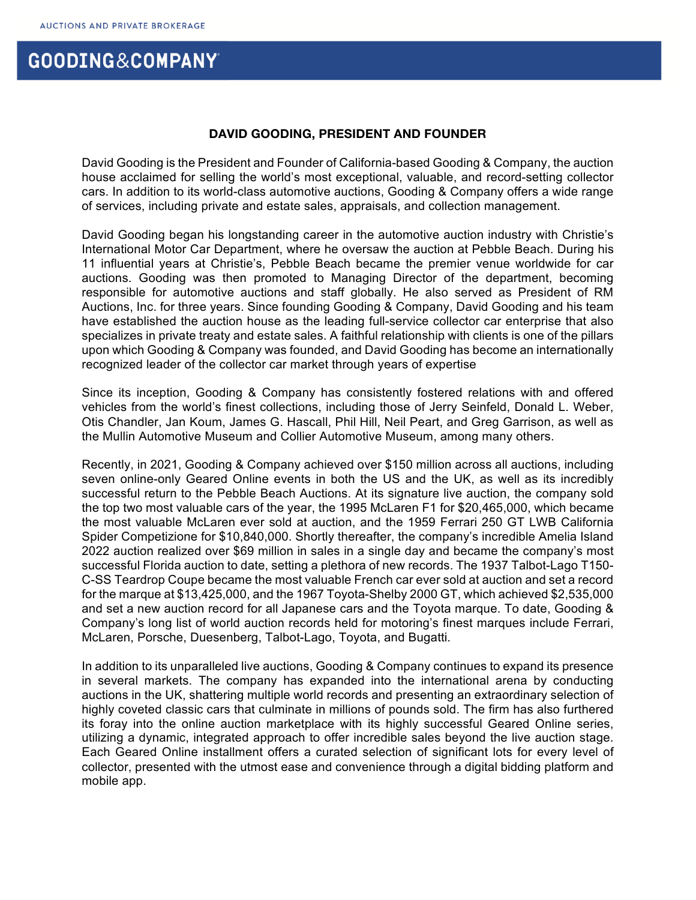## GOODING&COMPANY

## **DAVID GOODING, PRESIDENT AND FOUNDER**

David Gooding is the President and Founder of California-based Gooding & Company, the auction house acclaimed for selling the world's most exceptional, valuable, and record-setting collector cars. In addition to its world-class automotive auctions, Gooding & Company offers a wide range of services, including private and estate sales, appraisals, and collection management.

David Gooding began his longstanding career in the automotive auction industry with Christie's International Motor Car Department, where he oversaw the auction at Pebble Beach. During his 11 influential years at Christie's, Pebble Beach became the premier venue worldwide for car auctions. Gooding was then promoted to Managing Director of the department, becoming responsible for automotive auctions and staff globally. He also served as President of RM Auctions, Inc. for three years. Since founding Gooding & Company, David Gooding and his team have established the auction house as the leading full-service collector car enterprise that also specializes in private treaty and estate sales. A faithful relationship with clients is one of the pillars upon which Gooding & Company was founded, and David Gooding has become an internationally recognized leader of the collector car market through years of expertise

Since its inception, Gooding & Company has consistently fostered relations with and offered vehicles from the world's finest collections, including those of Jerry Seinfeld, Donald L. Weber, Otis Chandler, Jan Koum, James G. Hascall, Phil Hill, Neil Peart, and Greg Garrison, as well as the Mullin Automotive Museum and Collier Automotive Museum, among many others.

Recently, in 2021, Gooding & Company achieved over \$150 million across all auctions, including seven online-only Geared Online events in both the US and the UK, as well as its incredibly successful return to the Pebble Beach Auctions. At its signature live auction, the company sold the top two most valuable cars of the year, the 1995 McLaren F1 for \$20,465,000, which became the most valuable McLaren ever sold at auction, and the 1959 Ferrari 250 GT LWB California Spider Competizione for \$10,840,000. Shortly thereafter, the company's incredible Amelia Island 2022 auction realized over \$69 million in sales in a single day and became the company's most successful Florida auction to date, setting a plethora of new records. The 1937 Talbot-Lago T150- C-SS Teardrop Coupe became the most valuable French car ever sold at auction and set a record for the marque at \$13,425,000, and the 1967 Toyota-Shelby 2000 GT, which achieved \$2,535,000 and set a new auction record for all Japanese cars and the Toyota marque. To date, Gooding & Company's long list of world auction records held for motoring's finest marques include Ferrari, McLaren, Porsche, Duesenberg, Talbot-Lago, Toyota, and Bugatti.

In addition to its unparalleled live auctions, Gooding & Company continues to expand its presence in several markets. The company has expanded into the international arena by conducting auctions in the UK, shattering multiple world records and presenting an extraordinary selection of highly coveted classic cars that culminate in millions of pounds sold. The firm has also furthered its foray into the online auction marketplace with its highly successful Geared Online series, utilizing a dynamic, integrated approach to offer incredible sales beyond the live auction stage. Each Geared Online installment offers a curated selection of significant lots for every level of collector, presented with the utmost ease and convenience through a digital bidding platform and mobile app.